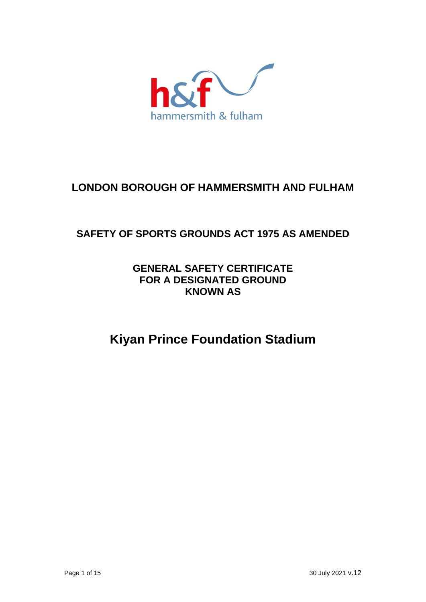

## **LONDON BOROUGH OF HAMMERSMITH AND FULHAM**

## **SAFETY OF SPORTS GROUNDS ACT 1975 AS AMENDED**

## **GENERAL SAFETY CERTIFICATE FOR A DESIGNATED GROUND KNOWN AS**

# **Kiyan Prince Foundation Stadium**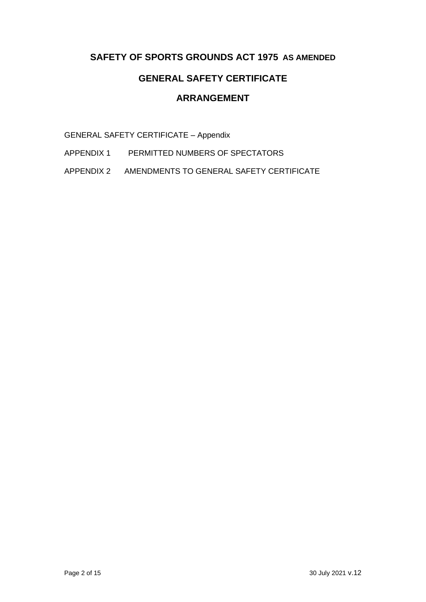### **SAFETY OF SPORTS GROUNDS ACT 1975 AS AMENDED**

## **GENERAL SAFETY CERTIFICATE**

## **ARRANGEMENT**

GENERAL SAFETY CERTIFICATE – Appendix

APPENDIX 1 PERMITTED NUMBERS OF SPECTATORS

APPENDIX 2 AMENDMENTS TO GENERAL SAFETY CERTIFICATE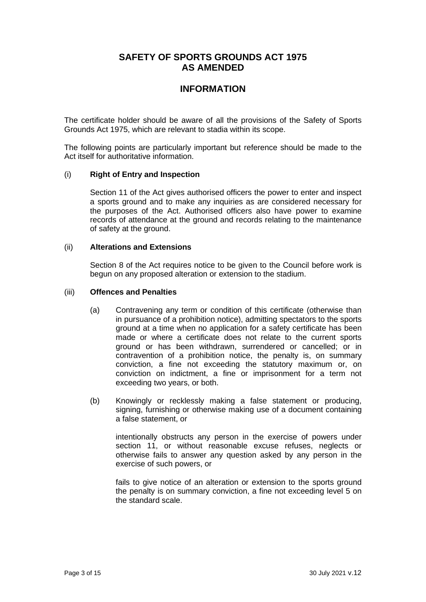### **SAFETY OF SPORTS GROUNDS ACT 1975 AS AMENDED**

### **INFORMATION**

The certificate holder should be aware of all the provisions of the Safety of Sports Grounds Act 1975, which are relevant to stadia within its scope.

The following points are particularly important but reference should be made to the Act itself for authoritative information.

#### (i) **Right of Entry and Inspection**

Section 11 of the Act gives authorised officers the power to enter and inspect a sports ground and to make any inquiries as are considered necessary for the purposes of the Act. Authorised officers also have power to examine records of attendance at the ground and records relating to the maintenance of safety at the ground.

#### (ii) **Alterations and Extensions**

Section 8 of the Act requires notice to be given to the Council before work is begun on any proposed alteration or extension to the stadium.

#### (iii) **Offences and Penalties**

- (a) Contravening any term or condition of this certificate (otherwise than in pursuance of a prohibition notice), admitting spectators to the sports ground at a time when no application for a safety certificate has been made or where a certificate does not relate to the current sports ground or has been withdrawn, surrendered or cancelled; or in contravention of a prohibition notice, the penalty is, on summary conviction, a fine not exceeding the statutory maximum or, on conviction on indictment, a fine or imprisonment for a term not exceeding two years, or both.
- (b) Knowingly or recklessly making a false statement or producing, signing, furnishing or otherwise making use of a document containing a false statement, or

intentionally obstructs any person in the exercise of powers under section 11, or without reasonable excuse refuses, neglects or otherwise fails to answer any question asked by any person in the exercise of such powers, or

fails to give notice of an alteration or extension to the sports ground the penalty is on summary conviction, a fine not exceeding level 5 on the standard scale.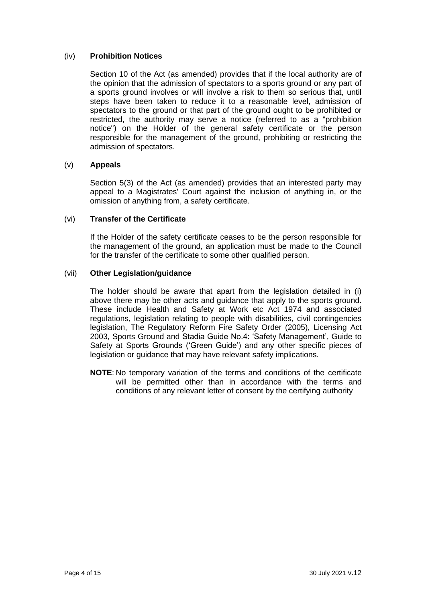#### (iv) **Prohibition Notices**

Section 10 of the Act (as amended) provides that if the local authority are of the opinion that the admission of spectators to a sports ground or any part of a sports ground involves or will involve a risk to them so serious that, until steps have been taken to reduce it to a reasonable level, admission of spectators to the ground or that part of the ground ought to be prohibited or restricted, the authority may serve a notice (referred to as a "prohibition notice") on the Holder of the general safety certificate or the person responsible for the management of the ground, prohibiting or restricting the admission of spectators.

#### (v) **Appeals**

Section 5(3) of the Act (as amended) provides that an interested party may appeal to a Magistrates' Court against the inclusion of anything in, or the omission of anything from, a safety certificate.

#### (vi) **Transfer of the Certificate**

If the Holder of the safety certificate ceases to be the person responsible for the management of the ground, an application must be made to the Council for the transfer of the certificate to some other qualified person.

#### (vii) **Other Legislation/guidance**

The holder should be aware that apart from the legislation detailed in (i) above there may be other acts and guidance that apply to the sports ground. These include Health and Safety at Work etc Act 1974 and associated regulations, legislation relating to people with disabilities, civil contingencies legislation, The Regulatory Reform Fire Safety Order (2005), Licensing Act 2003, Sports Ground and Stadia Guide No.4: 'Safety Management', Guide to Safety at Sports Grounds ('Green Guide') and any other specific pieces of legislation or guidance that may have relevant safety implications.

**NOTE**: No temporary variation of the terms and conditions of the certificate will be permitted other than in accordance with the terms and conditions of any relevant letter of consent by the certifying authority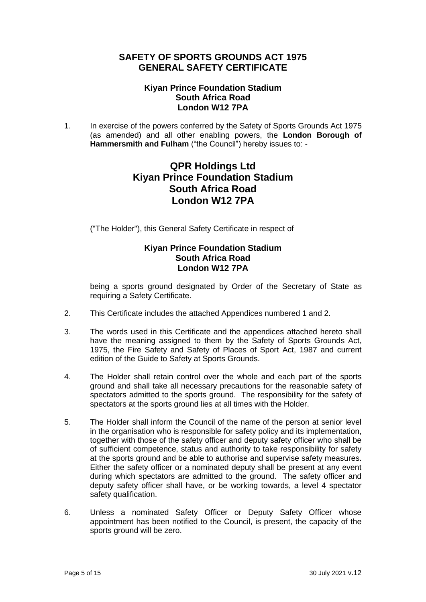### **SAFETY OF SPORTS GROUNDS ACT 1975 GENERAL SAFETY CERTIFICATE**

#### **Kiyan Prince Foundation Stadium South Africa Road London W12 7PA**

1. In exercise of the powers conferred by the Safety of Sports Grounds Act 1975 (as amended) and all other enabling powers, the **London Borough of Hammersmith and Fulham** ("the Council") hereby issues to: -

## **QPR Holdings Ltd Kiyan Prince Foundation Stadium South Africa Road London W12 7PA**

("The Holder"), this General Safety Certificate in respect of

#### **Kiyan Prince Foundation Stadium South Africa Road London W12 7PA**

being a sports ground designated by Order of the Secretary of State as requiring a Safety Certificate.

- 2. This Certificate includes the attached Appendices numbered 1 and 2.
- 3. The words used in this Certificate and the appendices attached hereto shall have the meaning assigned to them by the Safety of Sports Grounds Act, 1975, the Fire Safety and Safety of Places of Sport Act, 1987 and current edition of the Guide to Safety at Sports Grounds.
- 4. The Holder shall retain control over the whole and each part of the sports ground and shall take all necessary precautions for the reasonable safety of spectators admitted to the sports ground. The responsibility for the safety of spectators at the sports ground lies at all times with the Holder.
- 5. The Holder shall inform the Council of the name of the person at senior level in the organisation who is responsible for safety policy and its implementation, together with those of the safety officer and deputy safety officer who shall be of sufficient competence, status and authority to take responsibility for safety at the sports ground and be able to authorise and supervise safety measures. Either the safety officer or a nominated deputy shall be present at any event during which spectators are admitted to the ground. The safety officer and deputy safety officer shall have, or be working towards, a level 4 spectator safety qualification.
- 6. Unless a nominated Safety Officer or Deputy Safety Officer whose appointment has been notified to the Council, is present, the capacity of the sports ground will be zero.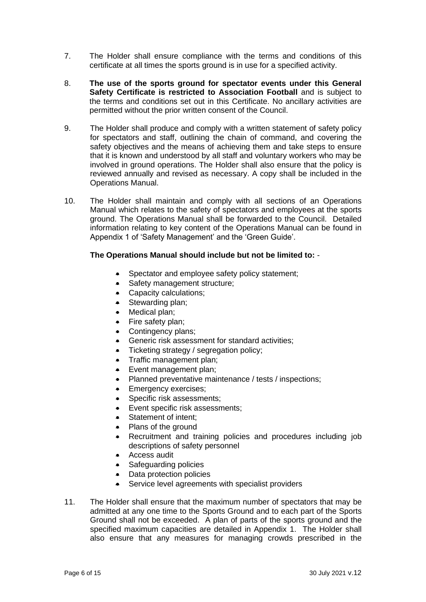- 7. The Holder shall ensure compliance with the terms and conditions of this certificate at all times the sports ground is in use for a specified activity.
- 8. **The use of the sports ground for spectator events under this General Safety Certificate is restricted to Association Football** and is subject to the terms and conditions set out in this Certificate. No ancillary activities are permitted without the prior written consent of the Council.
- 9. The Holder shall produce and comply with a written statement of safety policy for spectators and staff, outlining the chain of command, and covering the safety objectives and the means of achieving them and take steps to ensure that it is known and understood by all staff and voluntary workers who may be involved in ground operations. The Holder shall also ensure that the policy is reviewed annually and revised as necessary. A copy shall be included in the Operations Manual.
- 10. The Holder shall maintain and comply with all sections of an Operations Manual which relates to the safety of spectators and employees at the sports ground. The Operations Manual shall be forwarded to the Council. Detailed information relating to key content of the Operations Manual can be found in Appendix 1 of 'Safety Management' and the 'Green Guide'.

#### **The Operations Manual should include but not be limited to:** *-*

- Spectator and employee safety policy statement;
- Safety management structure;
- Capacity calculations;
- Stewarding plan;
- Medical plan:
- Fire safety plan;
- Contingency plans;
- Generic risk assessment for standard activities;
- Ticketing strategy / segregation policy;
- Traffic management plan;
- Event management plan:
- Planned preventative maintenance / tests / inspections;
- Emergency exercises;
- Specific risk assessments;
- Event specific risk assessments;
- Statement of intent:
- Plans of the ground
- Recruitment and training policies and procedures including job descriptions of safety personnel
- Access audit
- Safeguarding policies
- Data protection policies
- Service level agreements with specialist providers
- 11. The Holder shall ensure that the maximum number of spectators that may be admitted at any one time to the Sports Ground and to each part of the Sports Ground shall not be exceeded. A plan of parts of the sports ground and the specified maximum capacities are detailed in Appendix 1. The Holder shall also ensure that any measures for managing crowds prescribed in the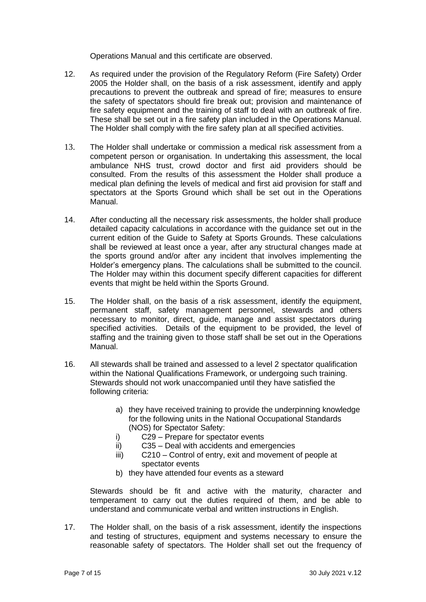Operations Manual and this certificate are observed.

- 12. As required under the provision of the Regulatory Reform (Fire Safety) Order 2005 the Holder shall, on the basis of a risk assessment, identify and apply precautions to prevent the outbreak and spread of fire; measures to ensure the safety of spectators should fire break out; provision and maintenance of fire safety equipment and the training of staff to deal with an outbreak of fire. These shall be set out in a fire safety plan included in the Operations Manual. The Holder shall comply with the fire safety plan at all specified activities.
- 13. The Holder shall undertake or commission a medical risk assessment from a competent person or organisation. In undertaking this assessment, the local ambulance NHS trust, crowd doctor and first aid providers should be consulted. From the results of this assessment the Holder shall produce a medical plan defining the levels of medical and first aid provision for staff and spectators at the Sports Ground which shall be set out in the Operations Manual.
- 14. After conducting all the necessary risk assessments, the holder shall produce detailed capacity calculations in accordance with the guidance set out in the current edition of the Guide to Safety at Sports Grounds. These calculations shall be reviewed at least once a year, after any structural changes made at the sports ground and/or after any incident that involves implementing the Holder's emergency plans. The calculations shall be submitted to the council. The Holder may within this document specify different capacities for different events that might be held within the Sports Ground.
- 15. The Holder shall, on the basis of a risk assessment, identify the equipment, permanent staff, safety management personnel, stewards and others necessary to monitor, direct, guide, manage and assist spectators during specified activities. Details of the equipment to be provided, the level of staffing and the training given to those staff shall be set out in the Operations Manual.
- 16. All stewards shall be trained and assessed to a level 2 spectator qualification within the National Qualifications Framework, or undergoing such training. Stewards should not work unaccompanied until they have satisfied the following criteria:
	- a) they have received training to provide the underpinning knowledge for the following units in the National Occupational Standards (NOS) for Spectator Safety:
	- i) C29 Prepare for spectator events
	- ii) C35 Deal with accidents and emergencies
	- iii) C210 Control of entry, exit and movement of people at spectator events
	- b) they have attended four events as a steward

Stewards should be fit and active with the maturity, character and temperament to carry out the duties required of them, and be able to understand and communicate verbal and written instructions in English.

17. The Holder shall, on the basis of a risk assessment, identify the inspections and testing of structures, equipment and systems necessary to ensure the reasonable safety of spectators. The Holder shall set out the frequency of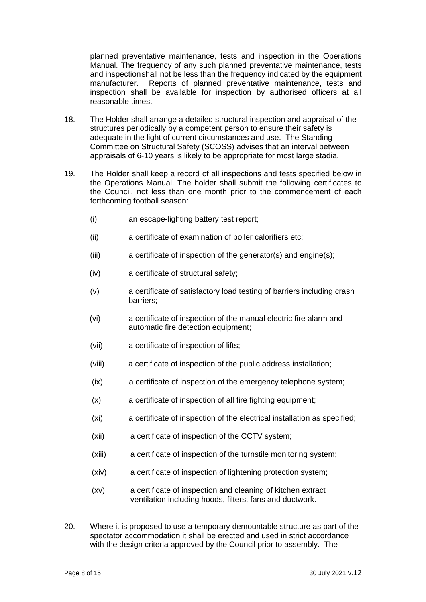planned preventative maintenance, tests and inspection in the Operations Manual. The frequency of any such planned preventative maintenance, tests and inspectionshall not be less than the frequency indicated by the equipment manufacturer. Reports of planned preventative maintenance, tests and inspection shall be available for inspection by authorised officers at all reasonable times.

- 18. The Holder shall arrange a detailed structural inspection and appraisal of the structures periodically by a competent person to ensure their safety is adequate in the light of current circumstances and use. The Standing Committee on Structural Safety (SCOSS) advises that an interval between appraisals of 6-10 years is likely to be appropriate for most large stadia.
- 19. The Holder shall keep a record of all inspections and tests specified below in the Operations Manual. The holder shall submit the following certificates to the Council, not less than one month prior to the commencement of each forthcoming football season:
	- (i) an escape-lighting battery test report;
	- (ii) a certificate of examination of boiler calorifiers etc;
	- (iii) a certificate of inspection of the generator(s) and engine(s);
	- (iv) a certificate of structural safety;
	- (v) a certificate of satisfactory load testing of barriers including crash barriers;
	- (vi) a certificate of inspection of the manual electric fire alarm and automatic fire detection equipment;
	- (vii) a certificate of inspection of lifts;
	- (viii) a certificate of inspection of the public address installation;
	- (ix) a certificate of inspection of the emergency telephone system;
	- (x) a certificate of inspection of all fire fighting equipment;
	- (xi) a certificate of inspection of the electrical installation as specified;
	- (xii) a certificate of inspection of the CCTV system;
	- (xiii) a certificate of inspection of the turnstile monitoring system;
	- (xiv) a certificate of inspection of lightening protection system;
	- (xv) a certificate of inspection and cleaning of kitchen extract ventilation including hoods, filters, fans and ductwork.
- 20. Where it is proposed to use a temporary demountable structure as part of the spectator accommodation it shall be erected and used in strict accordance with the design criteria approved by the Council prior to assembly. The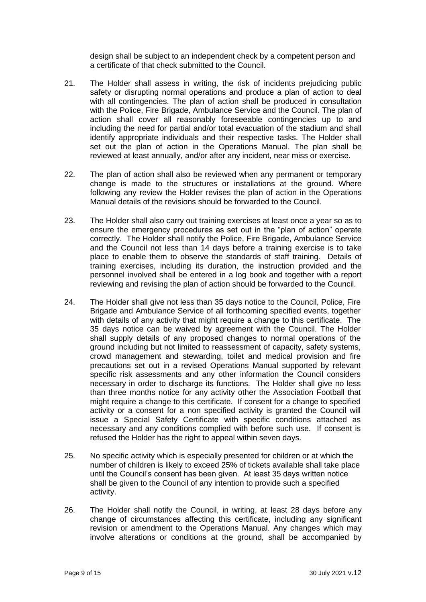design shall be subject to an independent check by a competent person and a certificate of that check submitted to the Council.

- 21. The Holder shall assess in writing, the risk of incidents prejudicing public safety or disrupting normal operations and produce a plan of action to deal with all contingencies. The plan of action shall be produced in consultation with the Police, Fire Brigade, Ambulance Service and the Council. The plan of action shall cover all reasonably foreseeable contingencies up to and including the need for partial and/or total evacuation of the stadium and shall identify appropriate individuals and their respective tasks. The Holder shall set out the plan of action in the Operations Manual. The plan shall be reviewed at least annually, and/or after any incident, near miss or exercise.
- 22. The plan of action shall also be reviewed when any permanent or temporary change is made to the structures or installations at the ground. Where following any review the Holder revises the plan of action in the Operations Manual details of the revisions should be forwarded to the Council.
- 23. The Holder shall also carry out training exercises at least once a year so as to ensure the emergency procedures as set out in the "plan of action" operate correctly. The Holder shall notify the Police, Fire Brigade, Ambulance Service and the Council not less than 14 days before a training exercise is to take place to enable them to observe the standards of staff training. Details of training exercises, including its duration, the instruction provided and the personnel involved shall be entered in a log book and together with a report reviewing and revising the plan of action should be forwarded to the Council.
- 24. The Holder shall give not less than 35 days notice to the Council, Police, Fire Brigade and Ambulance Service of all forthcoming specified events, together with details of any activity that might require a change to this certificate. The 35 days notice can be waived by agreement with the Council. The Holder shall supply details of any proposed changes to normal operations of the ground including but not limited to reassessment of capacity, safety systems, crowd management and stewarding, toilet and medical provision and fire precautions set out in a revised Operations Manual supported by relevant specific risk assessments and any other information the Council considers necessary in order to discharge its functions. The Holder shall give no less than three months notice for any activity other the Association Football that might require a change to this certificate. If consent for a change to specified activity or a consent for a non specified activity is granted the Council will issue a Special Safety Certificate with specific conditions attached as necessary and any conditions complied with before such use. If consent is refused the Holder has the right to appeal within seven days.
- 25. No specific activity which is especially presented for children or at which the number of children is likely to exceed 25% of tickets available shall take place until the Council's consent has been given. At least 35 days written notice shall be given to the Council of any intention to provide such a specified activity.
- 26. The Holder shall notify the Council, in writing, at least 28 days before any change of circumstances affecting this certificate, including any significant revision or amendment to the Operations Manual. Any changes which may involve alterations or conditions at the ground, shall be accompanied by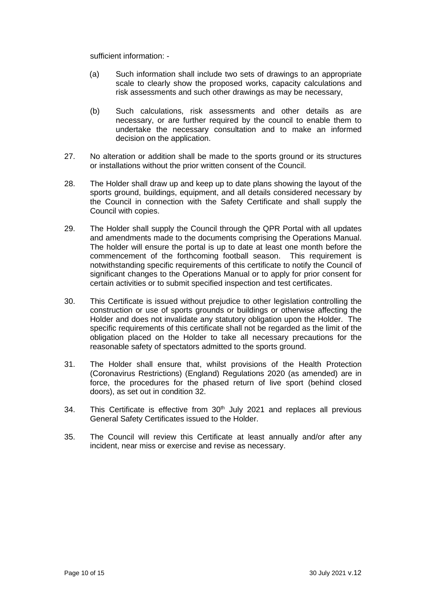sufficient information: -

- (a) Such information shall include two sets of drawings to an appropriate scale to clearly show the proposed works, capacity calculations and risk assessments and such other drawings as may be necessary,
- (b) Such calculations, risk assessments and other details as are necessary, or are further required by the council to enable them to undertake the necessary consultation and to make an informed decision on the application.
- 27. No alteration or addition shall be made to the sports ground or its structures or installations without the prior written consent of the Council.
- 28. The Holder shall draw up and keep up to date plans showing the layout of the sports ground, buildings, equipment, and all details considered necessary by the Council in connection with the Safety Certificate and shall supply the Council with copies.
- 29. The Holder shall supply the Council through the QPR Portal with all updates and amendments made to the documents comprising the Operations Manual. The holder will ensure the portal is up to date at least one month before the commencement of the forthcoming football season.This requirement is notwithstanding specific requirements of this certificate to notify the Council of significant changes to the Operations Manual or to apply for prior consent for certain activities or to submit specified inspection and test certificates.
- 30. This Certificate is issued without prejudice to other legislation controlling the construction or use of sports grounds or buildings or otherwise affecting the Holder and does not invalidate any statutory obligation upon the Holder. The specific requirements of this certificate shall not be regarded as the limit of the obligation placed on the Holder to take all necessary precautions for the reasonable safety of spectators admitted to the sports ground.
- 31. The Holder shall ensure that, whilst provisions of the Health Protection (Coronavirus Restrictions) (England) Regulations 2020 (as amended) are in force, the procedures for the phased return of live sport (behind closed doors), as set out in condition 32.
- 34. This Certificate is effective from 30<sup>th</sup> July 2021 and replaces all previous General Safety Certificates issued to the Holder.
- 35. The Council will review this Certificate at least annually and/or after any incident, near miss or exercise and revise as necessary.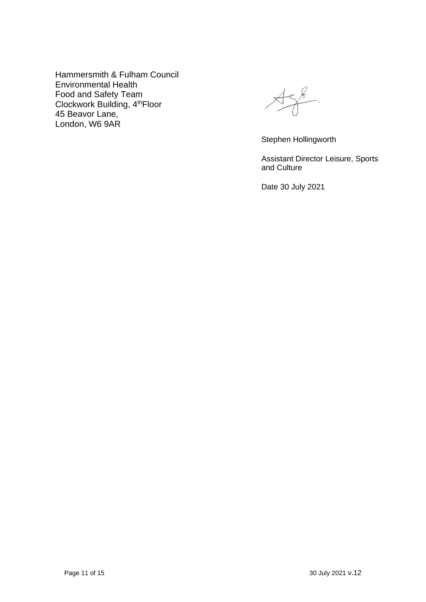Hammersmith & Fulham Council Environmental Health Food and Safety Team Clockwork Building, 4th Floor 45 Beavor Lane, London, W6 9AR

 $458$ 

Stephen Hollingworth

Assistant Director Leisure, Sports and Culture

Date 30 July 2021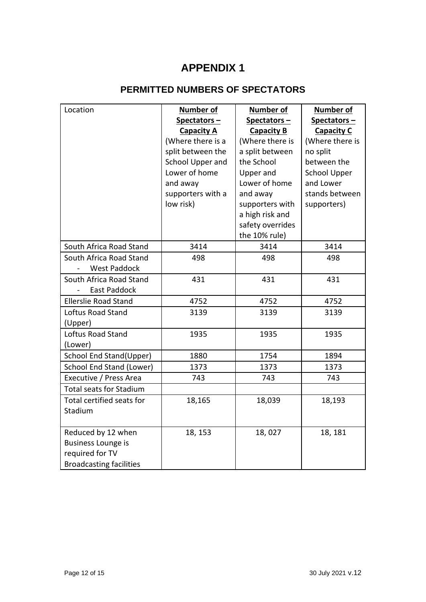## **APPENDIX 1**

## **PERMITTED NUMBERS OF SPECTATORS**

| Location                       | <b>Number of</b>  | Number of         | <b>Number of</b>    |
|--------------------------------|-------------------|-------------------|---------------------|
|                                | Spectators-       | Spectators-       | Spectators-         |
|                                | <b>Capacity A</b> | <b>Capacity B</b> | <b>Capacity C</b>   |
|                                | (Where there is a | (Where there is   | (Where there is     |
|                                | split between the | a split between   | no split            |
|                                | School Upper and  | the School        | between the         |
|                                | Lower of home     | <b>Upper and</b>  | <b>School Upper</b> |
|                                | and away          | Lower of home     | and Lower           |
|                                | supporters with a | and away          | stands between      |
|                                | low risk)         | supporters with   | supporters)         |
|                                |                   | a high risk and   |                     |
|                                |                   | safety overrides  |                     |
|                                |                   | the 10% rule)     |                     |
| South Africa Road Stand        | 3414              | 3414              | 3414                |
| South Africa Road Stand        | 498               | 498               | 498                 |
| <b>West Paddock</b>            |                   |                   |                     |
| South Africa Road Stand        | 431               | 431               | 431                 |
| <b>East Paddock</b>            |                   |                   |                     |
| <b>Ellerslie Road Stand</b>    | 4752              | 4752              | 4752                |
| Loftus Road Stand              | 3139              | 3139              | 3139                |
| (Upper)                        |                   |                   |                     |
| Loftus Road Stand              | 1935              | 1935              | 1935                |
| (Lower)                        |                   |                   |                     |
| School End Stand(Upper)        | 1880              | 1754              | 1894                |
| School End Stand (Lower)       | 1373              | 1373              | 1373                |
| Executive / Press Area         | 743               | 743               | 743                 |
| <b>Total seats for Stadium</b> |                   |                   |                     |
| Total certified seats for      | 18,165            | 18,039            | 18,193              |
| Stadium                        |                   |                   |                     |
|                                |                   |                   |                     |
| Reduced by 12 when             | 18, 153           | 18,027            | 18, 181             |
| <b>Business Lounge is</b>      |                   |                   |                     |
| required for TV                |                   |                   |                     |
| <b>Broadcasting facilities</b> |                   |                   |                     |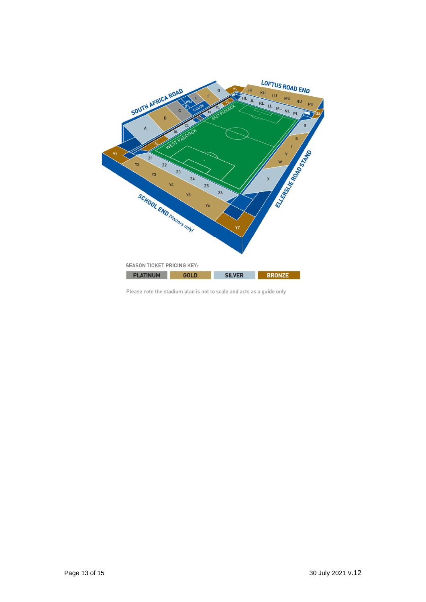

Please note the stadium plan is not to scale and acts as a guide only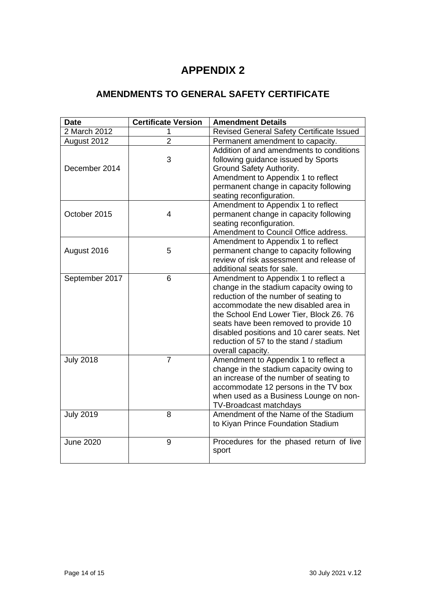## **APPENDIX 2**

## **AMENDMENTS TO GENERAL SAFETY CERTIFICATE**

| <b>Date</b>      | <b>Certificate Version</b> | <b>Amendment Details</b>                                                                                                                                                                                                                                                                                                                                          |
|------------------|----------------------------|-------------------------------------------------------------------------------------------------------------------------------------------------------------------------------------------------------------------------------------------------------------------------------------------------------------------------------------------------------------------|
| 2 March 2012     | 1                          | Revised General Safety Certificate Issued                                                                                                                                                                                                                                                                                                                         |
| August 2012      | $\overline{2}$             | Permanent amendment to capacity.                                                                                                                                                                                                                                                                                                                                  |
| December 2014    | 3                          | Addition of and amendments to conditions<br>following guidance issued by Sports<br>Ground Safety Authority.<br>Amendment to Appendix 1 to reflect<br>permanent change in capacity following<br>seating reconfiguration.                                                                                                                                           |
| October 2015     | $\overline{4}$             | Amendment to Appendix 1 to reflect<br>permanent change in capacity following<br>seating reconfiguration.<br>Amendment to Council Office address.                                                                                                                                                                                                                  |
| August 2016      | 5                          | Amendment to Appendix 1 to reflect<br>permanent change to capacity following<br>review of risk assessment and release of<br>additional seats for sale.                                                                                                                                                                                                            |
| September 2017   | 6                          | Amendment to Appendix 1 to reflect a<br>change in the stadium capacity owing to<br>reduction of the number of seating to<br>accommodate the new disabled area in<br>the School End Lower Tier, Block Z6. 76<br>seats have been removed to provide 10<br>disabled positions and 10 carer seats. Net<br>reduction of 57 to the stand / stadium<br>overall capacity. |
| <b>July 2018</b> | $\overline{7}$             | Amendment to Appendix 1 to reflect a<br>change in the stadium capacity owing to<br>an increase of the number of seating to<br>accommodate 12 persons in the TV box<br>when used as a Business Lounge on non-<br>TV-Broadcast matchdays                                                                                                                            |
| <b>July 2019</b> | 8                          | Amendment of the Name of the Stadium<br>to Kiyan Prince Foundation Stadium                                                                                                                                                                                                                                                                                        |
| <b>June 2020</b> | 9                          | Procedures for the phased return of live<br>sport                                                                                                                                                                                                                                                                                                                 |